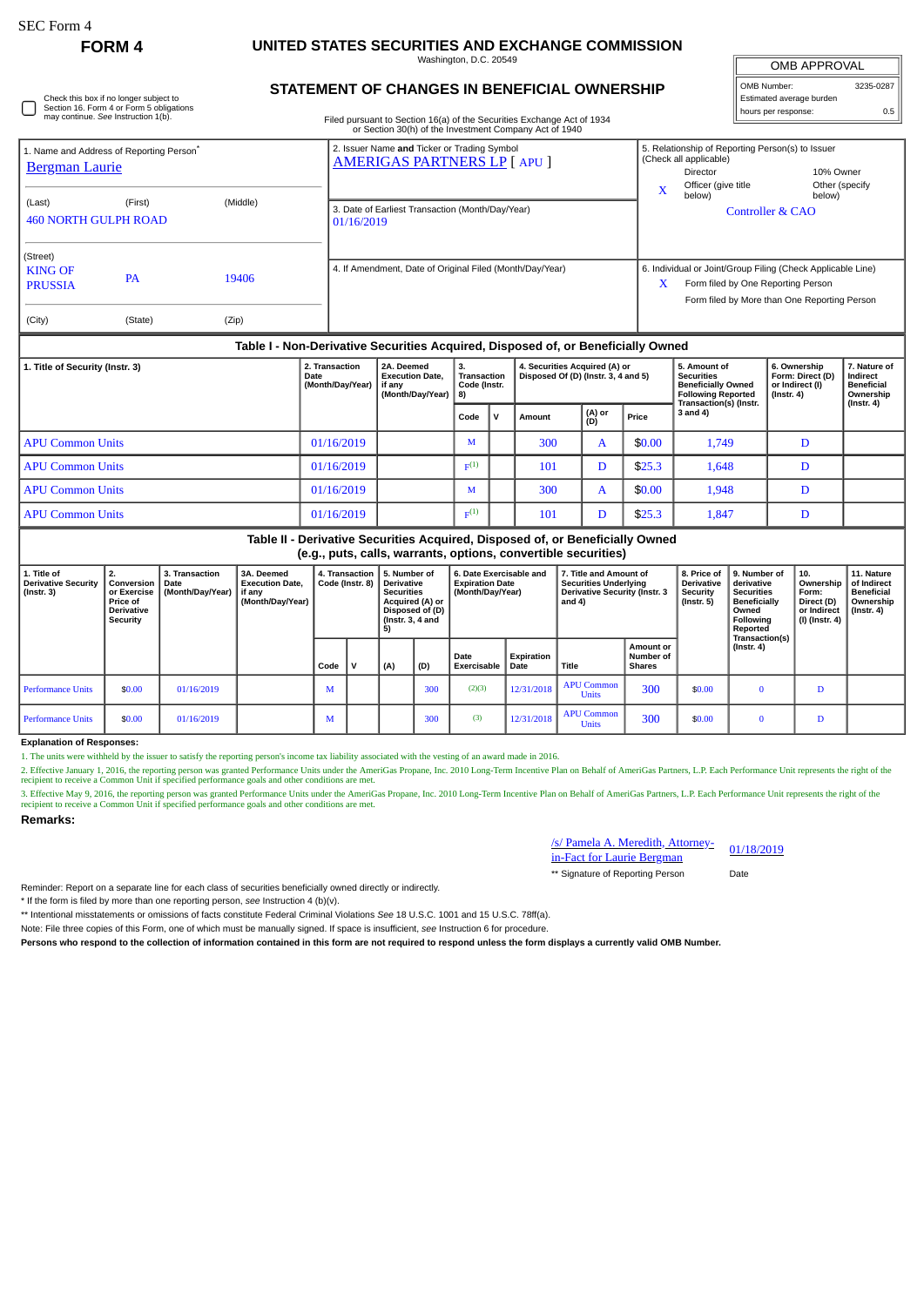Check this box if no longer subject to Section 16. Form 4 or Form 5 obligations may continue. *See* Instruction 1(b).

# **FORM 4 UNITED STATES SECURITIES AND EXCHANGE COMMISSION**

Washington, D.C. 20549

|  |  |  | STATEMENT OF CHANGES IN BENEFICIAL OWNERSHIP |  |
|--|--|--|----------------------------------------------|--|
|--|--|--|----------------------------------------------|--|

Filed pursuant to Section 16(a) of the Securities Exchange Act of 1934 or Section 30(h) of the Investment Company Act of 1940

| <b>OMB APPROVAL</b>      |  |  |  |  |  |  |  |  |
|--------------------------|--|--|--|--|--|--|--|--|
| OMB Number:<br>3235-0287 |  |  |  |  |  |  |  |  |
| Estimated average burden |  |  |  |  |  |  |  |  |
| hours per response:      |  |  |  |  |  |  |  |  |

| 1. Name and Address of Reporting Person <sup>*</sup>                             |           |       | 2. Issuer Name and Ticker or Trading Symbol<br><b>AMERIGAS PARTNERS LP [ APU ]</b> | 5. Relationship of Reporting Person(s) to Issuer<br>(Check all applicable)                                                                             |  |  |  |  |  |  |
|----------------------------------------------------------------------------------|-----------|-------|------------------------------------------------------------------------------------|--------------------------------------------------------------------------------------------------------------------------------------------------------|--|--|--|--|--|--|
| <b>Bergman Laurie</b>                                                            |           |       |                                                                                    | 10% Owner<br>Director                                                                                                                                  |  |  |  |  |  |  |
| (Middle)<br>(First)<br>(Last)<br><b>460 NORTH GULPH ROAD</b>                     |           |       |                                                                                    | Officer (give title<br>Other (specify<br>X<br>below)<br>below)                                                                                         |  |  |  |  |  |  |
|                                                                                  |           |       | 3. Date of Earliest Transaction (Month/Day/Year)<br>01/16/2019                     | <b>Controller &amp; CAO</b>                                                                                                                            |  |  |  |  |  |  |
| (Street)                                                                         |           |       |                                                                                    |                                                                                                                                                        |  |  |  |  |  |  |
| <b>KING OF</b><br><b>PRUSSIA</b>                                                 | <b>PA</b> | 19406 | 4. If Amendment, Date of Original Filed (Month/Day/Year)                           | 6. Individual or Joint/Group Filing (Check Applicable Line)<br>X<br>Form filed by One Reporting Person<br>Form filed by More than One Reporting Person |  |  |  |  |  |  |
| (City)                                                                           | (State)   | (Zip) |                                                                                    |                                                                                                                                                        |  |  |  |  |  |  |
| Table I - Non-Derivative Securities Acquired, Disposed of, or Beneficially Owned |           |       |                                                                                    |                                                                                                                                                        |  |  |  |  |  |  |

## **Table I - Non-Derivative Securities Acquired, Disposed of, or Beneficially Owned**

| 1. Title of Security (Instr. 3) | 2. Transaction<br>Date<br>(Month/Day/Year) | 2A. Deemed<br><b>Execution Date.</b><br>if any<br>(Month/Day/Year)   8) | Transaction<br>Code (Instr. |          | 4. Securities Acquired (A) or<br>Disposed Of (D) (Instr. 3, 4 and 5) |               |        | 5. Amount of<br>Securities<br><b>Beneficially Owned</b><br><b>Following Reported</b> | 6. Ownership<br>Form: Direct (D)<br>or Indirect (I)<br>(Instr. 4) | 7. Nature of<br>Indirect<br><b>Beneficial</b><br>Ownership |
|---------------------------------|--------------------------------------------|-------------------------------------------------------------------------|-----------------------------|----------|----------------------------------------------------------------------|---------------|--------|--------------------------------------------------------------------------------------|-------------------------------------------------------------------|------------------------------------------------------------|
|                                 |                                            |                                                                         | Code                        | <b>v</b> | Amount                                                               | (A) or<br>(D) | Price  | Transaction(s) (Instr.<br>3 and 4)                                                   |                                                                   | $($ lnstr. 4 $)$                                           |
| <b>APU Common Units</b>         | 01/16/2019                                 |                                                                         | м                           |          | 300                                                                  | A             | \$0.00 | 1.749                                                                                | D                                                                 |                                                            |
| <b>APU Common Units</b>         | 01/16/2019                                 |                                                                         | $F^{(1)}$                   |          | 101                                                                  |               | \$25.3 | 1,648                                                                                | D                                                                 |                                                            |
| <b>APU Common Units</b>         | 01/16/2019                                 |                                                                         | м                           |          | 300                                                                  | A             | \$0.00 | 1,948                                                                                | D                                                                 |                                                            |
| <b>APU Common Units</b>         | 01/16/2019                                 |                                                                         | $F^{(1)}$                   |          | 101                                                                  |               | \$25.3 | 1,847                                                                                | D                                                                 |                                                            |

#### **Table II - Derivative Securities Acquired, Disposed of, or Beneficially Owned (e.g., puts, calls, warrants, options, convertible securities)**

| 1. Title of<br><b>Derivative Security</b><br>$($ lnstr. 3 $)$ | 2.<br>Conversion<br>or Exercise<br><b>Price of</b><br><b>Derivative</b><br>Security | 3. Transaction<br>Date<br>(Month/Dav/Year) | 3A. Deemed<br><b>Execution Date.</b><br>if any<br>(Month/Day/Year) | 5. Number of<br>4. Transaction  <br><b>Derivative</b><br>Code (Instr. 8)<br><b>Securities</b><br>Acquired (A) or<br>Disposed of (D)<br>(Instr. $3, 4$ and<br>5) |              | 6. Date Exercisable and<br><b>Expiration Date</b><br>(Month/Day/Year) |     | 7. Title and Amount of<br><b>Securities Underlying</b><br><b>Derivative Security (Instr. 3</b><br>and 4) |                    | 8. Price of<br><b>Derivative</b><br>Security<br>(Instr. 5) | 9. Number of<br>derivative<br><b>Securities</b><br><b>Beneficially</b><br>Owned<br>Following<br>Reported | 10.<br>Ownership<br>Form:<br>Direct (D)<br>or Indirect<br>(I) (Instr. 4) | 11. Nature<br>of Indirect<br><b>Beneficial</b><br>Ownership<br>$($ lnstr. 4 $)$ |   |  |
|---------------------------------------------------------------|-------------------------------------------------------------------------------------|--------------------------------------------|--------------------------------------------------------------------|-----------------------------------------------------------------------------------------------------------------------------------------------------------------|--------------|-----------------------------------------------------------------------|-----|----------------------------------------------------------------------------------------------------------|--------------------|------------------------------------------------------------|----------------------------------------------------------------------------------------------------------|--------------------------------------------------------------------------|---------------------------------------------------------------------------------|---|--|
|                                                               |                                                                                     |                                            |                                                                    | Code                                                                                                                                                            | $\mathbf{v}$ | (A)                                                                   | (D) | Date<br>Exercisable                                                                                      | Expiration<br>Date | Title                                                      | <b>Amount or</b><br>Number of<br><b>Shares</b>                                                           |                                                                          | Transaction(s)<br>$($ lnstr. 4 $)$                                              |   |  |
| <b>Performance Units</b>                                      | \$0.00                                                                              | 01/16/2019                                 |                                                                    | М                                                                                                                                                               |              |                                                                       | 300 | (2)(3)                                                                                                   | 12/31/2018         | <b>APU Common</b><br><b>Units</b>                          | 300                                                                                                      | \$0.00                                                                   | $\Omega$                                                                        | D |  |
| <b>Performance Units</b>                                      | \$0.00                                                                              | 01/16/2019                                 |                                                                    | М                                                                                                                                                               |              |                                                                       | 300 | (3)                                                                                                      | 12/31/2018         | <b>APU Common</b><br><b>Units</b>                          | 300                                                                                                      | \$0.00                                                                   |                                                                                 | D |  |

### **Explanation of Responses:**

1. The units were withheld by the issuer to satisfy the reporting person's income tax liability associated with the vesting of an award made in 2016.

2. Effective January 1, 2016, the reporting person was granted Performance Units under the AmeriGas Propane, Inc. 2010 Long-Term Incentive Plan on Behalf of AmeriGas Partners, L.P. Each Performance Unit represents the righ recipient to receive a Common Unit if specified performance goals and other conditions are met.

3. Effective May 9, 2016, the reporting person was granted Performance Units under the AmeriCas Propane, Inc. 2010 Long-Term Incentive Plan on Behalf of AmeriCas Partners, L.P. Each Performance Unit represents the right of recipient to receive a Common Unit if specified performance goals and other conditions are met.

#### **Remarks:**

# /s/ Pamela A. Meredith, Attorneyin-Fact for Laurie Bergman \*\* Signature of Reporting Person Date

01/18/2019

Reminder: Report on a separate line for each class of securities beneficially owned directly or indirectly.

\* If the form is filed by more than one reporting person, *see* Instruction 4 (b)(v).

\*\* Intentional misstatements or omissions of facts constitute Federal Criminal Violations *See* 18 U.S.C. 1001 and 15 U.S.C. 78ff(a).

Note: File three copies of this Form, one of which must be manually signed. If space is insufficient, *see* Instruction 6 for procedure.

**Persons who respond to the collection of information contained in this form are not required to respond unless the form displays a currently valid OMB Number.**